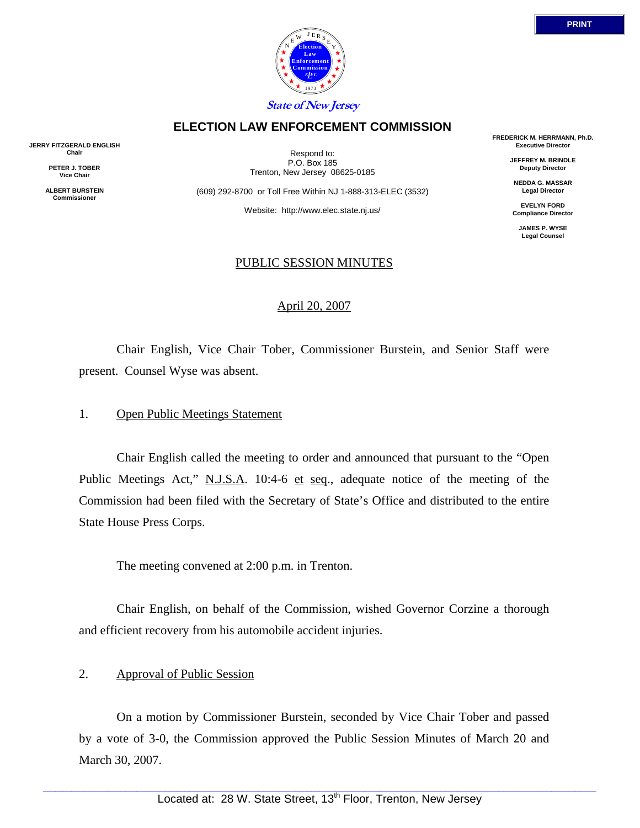

## **ELECTION LAW ENFORCEMENT COMMISSION**

**JERRY FITZGERALD ENGLISH Chair** 

> **PETER J. TOBER Vice Chair**

**ALBERT BURSTEIN Commissioner** 

Respond to: P.O. Box 185 Trenton, New Jersey 08625-0185

(609) 292-8700 or Toll Free Within NJ 1-888-313-ELEC (3532)

Website: http://www.elec.state.nj.us/

#### PUBLIC SESSION MINUTES

#### April 20, 2007

 Chair English, Vice Chair Tober, Commissioner Burstein, and Senior Staff were present. Counsel Wyse was absent.

#### 1. Open Public Meetings Statement

 Chair English called the meeting to order and announced that pursuant to the "Open Public Meetings Act," N.J.S.A. 10:4-6 et seq., adequate notice of the meeting of the Commission had been filed with the Secretary of State's Office and distributed to the entire State House Press Corps.

The meeting convened at 2:00 p.m. in Trenton.

 Chair English, on behalf of the Commission, wished Governor Corzine a thorough and efficient recovery from his automobile accident injuries.

#### 2. Approval of Public Session

 On a motion by Commissioner Burstein, seconded by Vice Chair Tober and passed by a vote of 3-0, the Commission approved the Public Session Minutes of March 20 and March 30, 2007.

**JEFFREY M. BRINDLE Deputy Director** 

**NEDDA G. MASSAR Legal Director** 

**EVELYN FORD Compliance Director** 

> **JAMES P. WYSE Legal Counsel**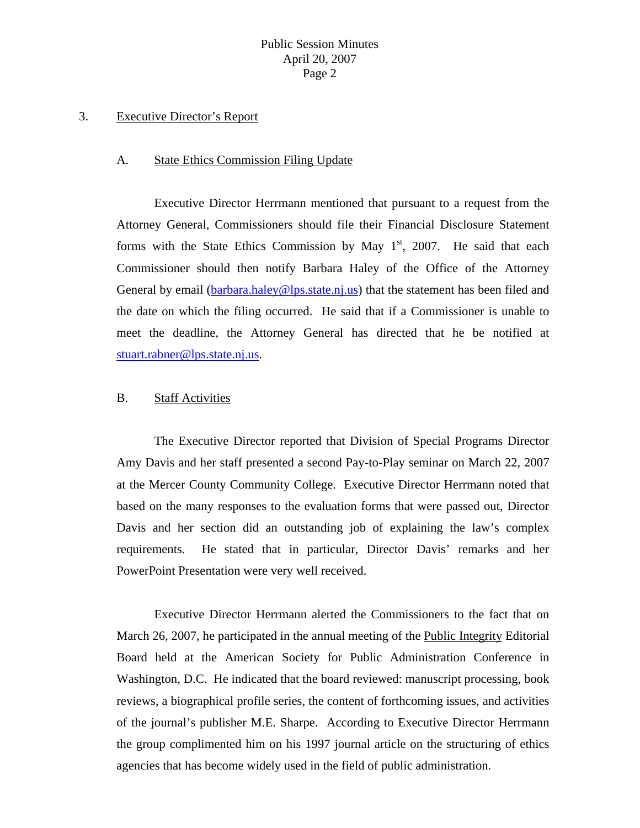#### 3. Executive Director's Report

#### A. State Ethics Commission Filing Update

 Executive Director Herrmann mentioned that pursuant to a request from the Attorney General, Commissioners should file their Financial Disclosure Statement forms with the State Ethics Commission by May  $1<sup>st</sup>$ , 2007. He said that each Commissioner should then notify Barbara Haley of the Office of the Attorney General by email ([barbara.haley@lps.state.nj.us\)](mailto:barbara.haley@lps.state.nj.us) that the statement has been filed and the date on which the filing occurred. He said that if a Commissioner is unable to meet the deadline, the Attorney General has directed that he be notified at [stuart.rabner@lps.state.nj.us.](mailto:stuart.rabner@lps.state.nj.us)

#### B. Staff Activities

 The Executive Director reported that Division of Special Programs Director Amy Davis and her staff presented a second Pay-to-Play seminar on March 22, 2007 at the Mercer County Community College. Executive Director Herrmann noted that based on the many responses to the evaluation forms that were passed out, Director Davis and her section did an outstanding job of explaining the law's complex requirements. He stated that in particular, Director Davis' remarks and her PowerPoint Presentation were very well received.

 Executive Director Herrmann alerted the Commissioners to the fact that on March 26, 2007, he participated in the annual meeting of the Public Integrity Editorial Board held at the American Society for Public Administration Conference in Washington, D.C. He indicated that the board reviewed: manuscript processing, book reviews, a biographical profile series, the content of forthcoming issues, and activities of the journal's publisher M.E. Sharpe. According to Executive Director Herrmann the group complimented him on his 1997 journal article on the structuring of ethics agencies that has become widely used in the field of public administration.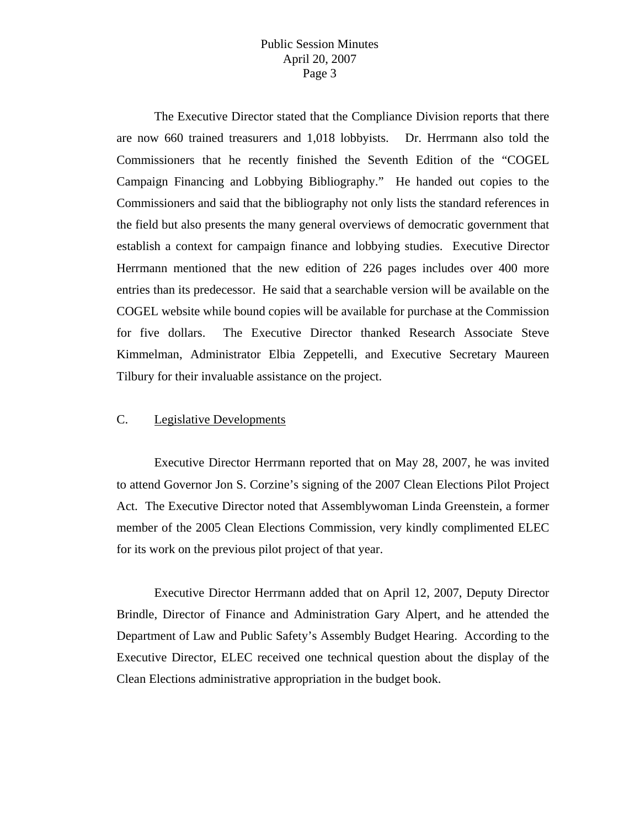The Executive Director stated that the Compliance Division reports that there are now 660 trained treasurers and 1,018 lobbyists. Dr. Herrmann also told the Commissioners that he recently finished the Seventh Edition of the "COGEL Campaign Financing and Lobbying Bibliography." He handed out copies to the Commissioners and said that the bibliography not only lists the standard references in the field but also presents the many general overviews of democratic government that establish a context for campaign finance and lobbying studies. Executive Director Herrmann mentioned that the new edition of 226 pages includes over 400 more entries than its predecessor. He said that a searchable version will be available on the COGEL website while bound copies will be available for purchase at the Commission for five dollars. The Executive Director thanked Research Associate Steve Kimmelman, Administrator Elbia Zeppetelli, and Executive Secretary Maureen Tilbury for their invaluable assistance on the project.

## C. Legislative Developments

 Executive Director Herrmann reported that on May 28, 2007, he was invited to attend Governor Jon S. Corzine's signing of the 2007 Clean Elections Pilot Project Act. The Executive Director noted that Assemblywoman Linda Greenstein, a former member of the 2005 Clean Elections Commission, very kindly complimented ELEC for its work on the previous pilot project of that year.

 Executive Director Herrmann added that on April 12, 2007, Deputy Director Brindle, Director of Finance and Administration Gary Alpert, and he attended the Department of Law and Public Safety's Assembly Budget Hearing. According to the Executive Director, ELEC received one technical question about the display of the Clean Elections administrative appropriation in the budget book.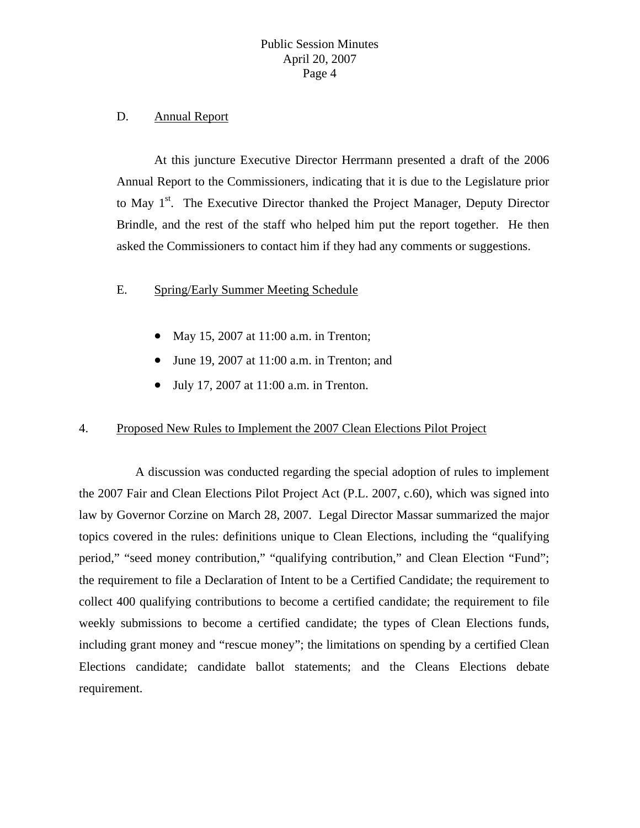#### D. Annual Report

 At this juncture Executive Director Herrmann presented a draft of the 2006 Annual Report to the Commissioners, indicating that it is due to the Legislature prior to May 1<sup>st</sup>. The Executive Director thanked the Project Manager, Deputy Director Brindle, and the rest of the staff who helped him put the report together. He then asked the Commissioners to contact him if they had any comments or suggestions.

## E. Spring/Early Summer Meeting Schedule

- May 15, 2007 at 11:00 a.m. in Trenton;
- June 19, 2007 at 11:00 a.m. in Trenton; and
- July 17, 2007 at 11:00 a.m. in Trenton.

## 4. Proposed New Rules to Implement the 2007 Clean Elections Pilot Project

 A discussion was conducted regarding the special adoption of rules to implement the 2007 Fair and Clean Elections Pilot Project Act (P.L. 2007, c.60), which was signed into law by Governor Corzine on March 28, 2007. Legal Director Massar summarized the major topics covered in the rules: definitions unique to Clean Elections, including the "qualifying period," "seed money contribution," "qualifying contribution," and Clean Election "Fund"; the requirement to file a Declaration of Intent to be a Certified Candidate; the requirement to collect 400 qualifying contributions to become a certified candidate; the requirement to file weekly submissions to become a certified candidate; the types of Clean Elections funds, including grant money and "rescue money"; the limitations on spending by a certified Clean Elections candidate; candidate ballot statements; and the Cleans Elections debate requirement.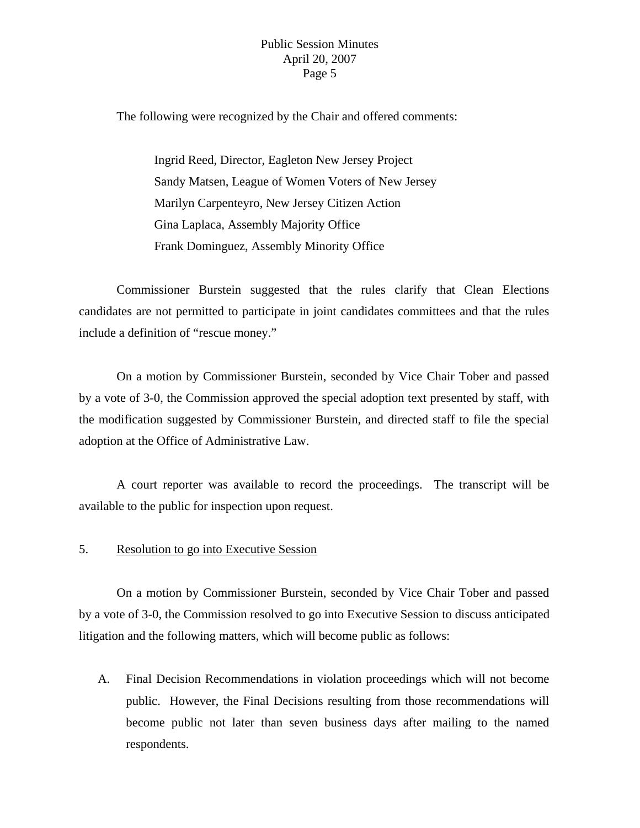The following were recognized by the Chair and offered comments:

 Ingrid Reed, Director, Eagleton New Jersey Project Sandy Matsen, League of Women Voters of New Jersey Marilyn Carpenteyro, New Jersey Citizen Action Gina Laplaca, Assembly Majority Office Frank Dominguez, Assembly Minority Office

 Commissioner Burstein suggested that the rules clarify that Clean Elections candidates are not permitted to participate in joint candidates committees and that the rules include a definition of "rescue money."

 On a motion by Commissioner Burstein, seconded by Vice Chair Tober and passed by a vote of 3-0, the Commission approved the special adoption text presented by staff, with the modification suggested by Commissioner Burstein, and directed staff to file the special adoption at the Office of Administrative Law.

 A court reporter was available to record the proceedings. The transcript will be available to the public for inspection upon request.

#### 5. Resolution to go into Executive Session

 On a motion by Commissioner Burstein, seconded by Vice Chair Tober and passed by a vote of 3-0, the Commission resolved to go into Executive Session to discuss anticipated litigation and the following matters, which will become public as follows:

A. Final Decision Recommendations in violation proceedings which will not become public. However, the Final Decisions resulting from those recommendations will become public not later than seven business days after mailing to the named respondents.